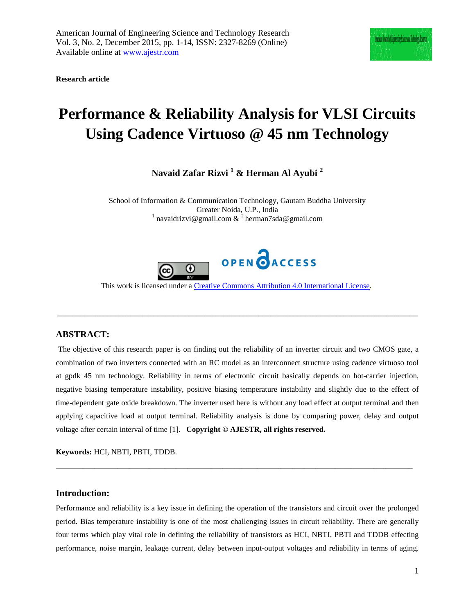**Research article**

# **Performance & Reliability Analysis for VLSI Circuits Using Cadence Virtuoso @ 45 nm Technology**

**Navaid Zafar Rizvi <sup>1</sup> & Herman Al Ayubi <sup>2</sup>**

School of Information & Communication Technology, Gautam Buddha University Greater Noida, U.P., India<br><sup>1</sup> navaidrizvi@gmail.com & <sup>2</sup> herman7sda@gmail.com



This work is licensed under a [Creative Commons Attribution 4.0 International License.](http://creativecommons.org/licenses/by/4.0/)

\_\_\_\_\_\_\_\_\_\_\_\_\_\_\_\_\_\_\_\_\_\_\_\_\_\_\_\_\_\_\_\_\_\_\_\_\_\_\_\_\_\_\_\_\_\_\_\_\_\_\_\_\_\_\_\_\_\_\_\_\_\_\_\_\_\_\_\_\_\_\_\_\_\_\_\_\_\_\_\_\_\_\_\_\_\_\_\_\_\_\_\_\_

### **ABSTRACT:**

The objective of this research paper is on finding out the reliability of an inverter circuit and two CMOS gate, a combination of two inverters connected with an RC model as an interconnect structure using cadence virtuoso tool at gpdk 45 nm technology. Reliability in terms of electronic circuit basically depends on hot-carrier injection, negative biasing temperature instability, positive biasing temperature instability and slightly due to the effect of time-dependent gate oxide breakdown. The inverter used here is without any load effect at output terminal and then applying capacitive load at output terminal. Reliability analysis is done by comparing power, delay and output voltage after certain interval of time [1]. **Copyright © AJESTR, all rights reserved.**

**Keywords:** HCI, NBTI, PBTI, TDDB.

#### **Introduction:**

Performance and reliability is a key issue in defining the operation of the transistors and circuit over the prolonged period. Bias temperature instability is one of the most challenging issues in circuit reliability. There are generally four terms which play vital role in defining the reliability of transistors as HCI, NBTI, PBTI and TDDB effecting performance, noise margin, leakage current, delay between input-output voltages and reliability in terms of aging.

\_\_\_\_\_\_\_\_\_\_\_\_\_\_\_\_\_\_\_\_\_\_\_\_\_\_\_\_\_\_\_\_\_\_\_\_\_\_\_\_\_\_\_\_\_\_\_\_\_\_\_\_\_\_\_\_\_\_\_\_\_\_\_\_\_\_\_\_\_\_\_\_\_\_\_\_\_\_\_\_\_\_\_\_\_\_\_\_\_\_\_\_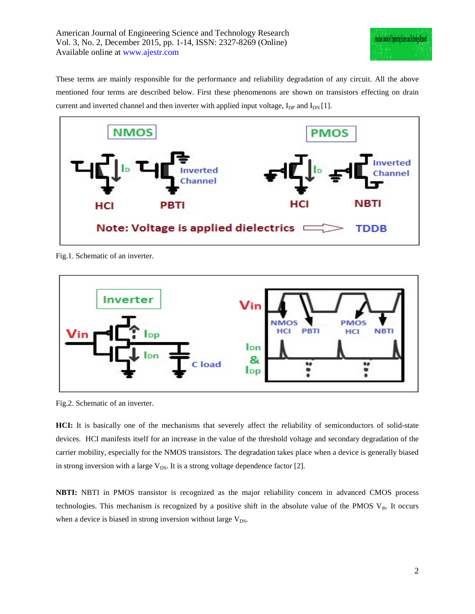

These terms are mainly responsible for the performance and reliability degradation of any circuit. All the above mentioned four terms are described below. First these phenomenons are shown on transistors effecting on drain current and inverted channel and then inverter with applied input voltage,  $I_{DP}$  and  $I_{DN}$  [1].



Fig.1. Schematic of an inverter.



Fig.2. Schematic of an inverter.

**HCI:** It is basically one of the mechanisms that severely affect the reliability of semiconductors of solid-state devices. HCI manifests itself for an increase in the value of the threshold voltage and secondary degradation of the carrier mobility, especially for the NMOS transistors. The degradation takes place when a device is generally biased in strong inversion with a large  $V_{DS}$ . It is a strong voltage dependence factor [2].

**NBTI:** NBTI in PMOS transistor is recognized as the major reliability concern in advanced CMOS process technologies. This mechanism is recognized by a positive shift in the absolute value of the PMOS  $V_{th}$ . It occurs when a device is biased in strong inversion without large  $V_{DS}$ .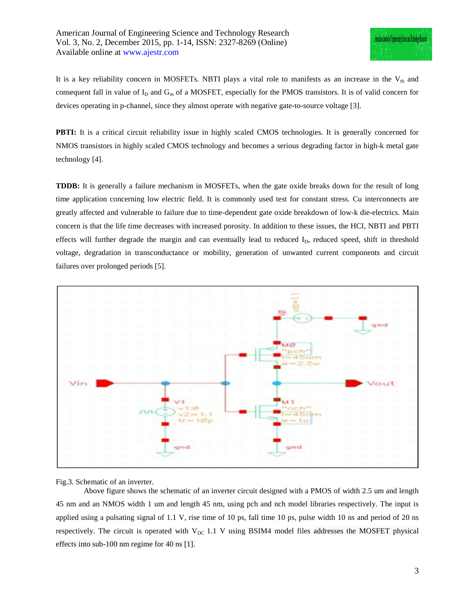It is a key reliability concern in MOSFETs. NBTI plays a vital role to manifests as an increase in the  $V_{th}$  and consequent fall in value of  $I_D$  and  $G_m$  of a MOSFET, especially for the PMOS transistors. It is of valid concern for devices operating in p-channel, since they almost operate with negative gate-to-source voltage [3].

**PBTI:** It is a critical circuit reliability issue in highly scaled CMOS technologies. It is generally concerned for NMOS transistors in highly scaled CMOS technology and becomes a serious degrading factor in high-k metal gate technology [4].

**TDDB:** It is generally a failure mechanism in MOSFETs, when the gate oxide breaks down for the result of long time application concerning low electric field. It is commonly used test for constant stress. Cu interconnects are greatly affected and vulnerable to failure due to time-dependent gate oxide breakdown of low-k die-electrics. Main concern is that the life time decreases with increased porosity. In addition to these issues, the HCI, NBTI and PBTI effects will further degrade the margin and can eventually lead to reduced  $I<sub>D</sub>$ , reduced speed, shift in threshold voltage, degradation in transconductance or mobility, generation of unwanted current components and circuit failures over prolonged periods [5].



Fig.3. Schematic of an inverter.

Above figure shows the schematic of an inverter circuit designed with a PMOS of width 2.5 um and length 45 nm and an NMOS width 1 um and length 45 nm, using pch and nch model libraries respectively. The input is applied using a pulsating signal of 1.1 V, rise time of 10 ps, fall time 10 ps, pulse width 10 ns and period of 20 ns respectively. The circuit is operated with  $V_{DC}$  1.1 V using BSIM4 model files addresses the MOSFET physical effects into sub-100 nm regime for 40 ns [1].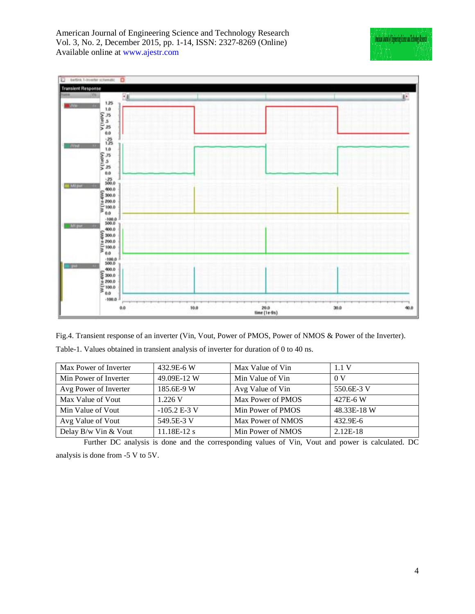

Fig.4. Transient response of an inverter (Vin, Vout, Power of PMOS, Power of NMOS & Power of the Inverter).

|  |  |  |  | Table-1. Values obtained in transient analysis of inverter for duration of 0 to 40 ns. |  |
|--|--|--|--|----------------------------------------------------------------------------------------|--|
|  |  |  |  |                                                                                        |  |

| Max Power of Inverter | 432.9E-6 W     | Max Value of Vin  | 1.1V           |
|-----------------------|----------------|-------------------|----------------|
| Min Power of Inverter | 49.09E-12 W    | Min Value of Vin  | 0 <sub>V</sub> |
| Avg Power of Inverter | 185.6E-9 W     | Avg Value of Vin  | 550.6E-3 V     |
| Max Value of Vout     | 1.226 V        | Max Power of PMOS | 427E-6W        |
| Min Value of Vout     | $-105.2 E-3 V$ | Min Power of PMOS | 48.33E-18 W    |
| Avg Value of Vout     | 549.5E-3 V     | Max Power of NMOS | 432.9E-6       |
| Delay B/w Vin & Vout  | $11.18E-12s$   | Min Power of NMOS | $2.12E-18$     |

Further DC analysis is done and the corresponding values of Vin, Vout and power is calculated. DC analysis is done from -5 V to 5V.

Ancicus Journal of Engineering Science and Technology Recentl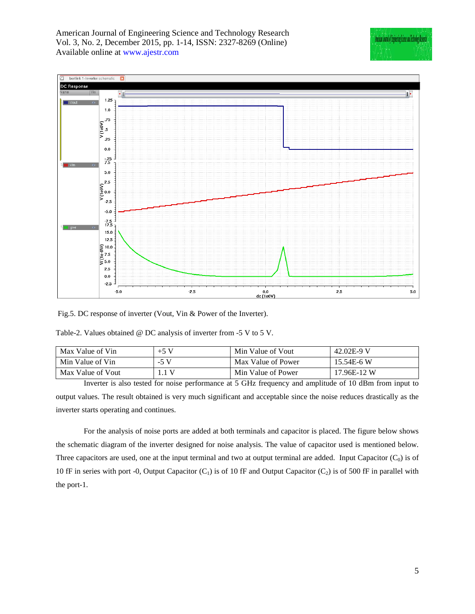

Fig.5. DC response of inverter (Vout, Vin & Power of the Inverter).

| Max Value of Vin  | $+5$ V | Min Value of Vout  | 42.02E-9 V    |
|-------------------|--------|--------------------|---------------|
| Min Value of Vin  | $-5V$  | Max Value of Power | $15.54E - 6W$ |
| Max Value of Vout |        | Min Value of Power | 17.96E-12 W   |

Inverter is also tested for noise performance at 5 GHz frequency and amplitude of 10 dBm from input to output values. The result obtained is very much significant and acceptable since the noise reduces drastically as the inverter starts operating and continues.

For the analysis of noise ports are added at both terminals and capacitor is placed. The figure below shows the schematic diagram of the inverter designed for noise analysis. The value of capacitor used is mentioned below. Three capacitors are used, one at the input terminal and two at output terminal are added. Input Capacitor  $(C_0)$  is of 10 fF in series with port -0, Output Capacitor  $(C_1)$  is of 10 fF and Output Capacitor  $(C_2)$  is of 500 fF in parallel with the port-1.

Anerican Journal of Engineering Scence and Techno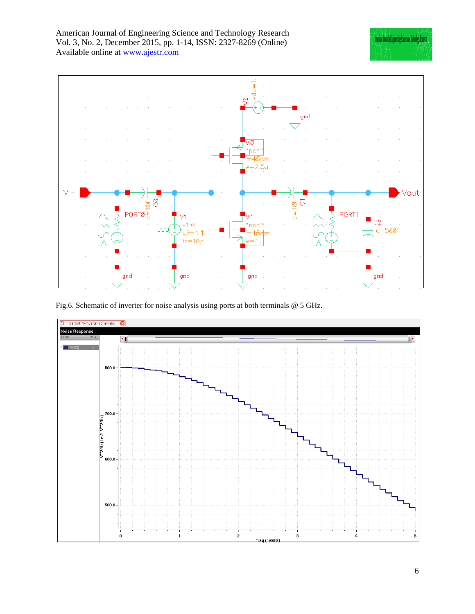

Fig.6. Schematic of inverter for noise analysis using ports at both terminals @ 5 GHz.



Anarican Journal of Engineering Science and Technology Researc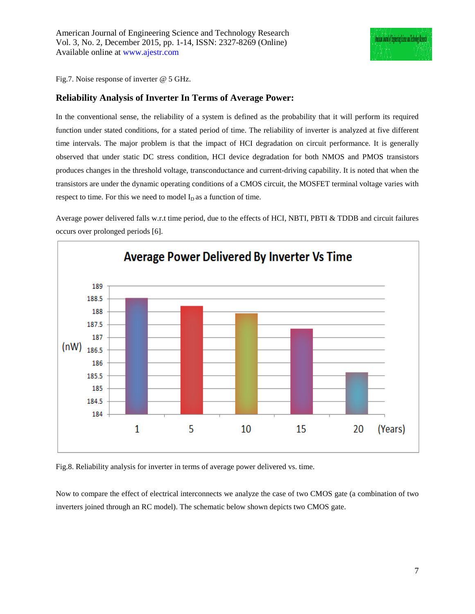Fig.7. Noise response of inverter @ 5 GHz.

## **Reliability Analysis of Inverter In Terms of Average Power:**

In the conventional sense, the reliability of a system is defined as the probability that it will perform its required function under stated conditions, for a stated period of time. The reliability of inverter is analyzed at five different time intervals. The major problem is that the impact of HCI degradation on circuit performance. It is generally observed that under static DC stress condition, HCI device degradation for both NMOS and PMOS transistors produces changes in the threshold voltage, transconductance and current-driving capability. It is noted that when the transistors are under the dynamic operating conditions of a CMOS circuit, the MOSFET terminal voltage varies with respect to time. For this we need to model  $I<sub>D</sub>$  as a function of time.

Average power delivered falls w.r.t time period, due to the effects of HCI, NBTI, PBTI & TDDB and circuit failures occurs over prolonged periods [6].



Fig.8. Reliability analysis for inverter in terms of average power delivered vs. time.

Now to compare the effect of electrical interconnects we analyze the case of two CMOS gate (a combination of two inverters joined through an RC model). The schematic below shown depicts two CMOS gate.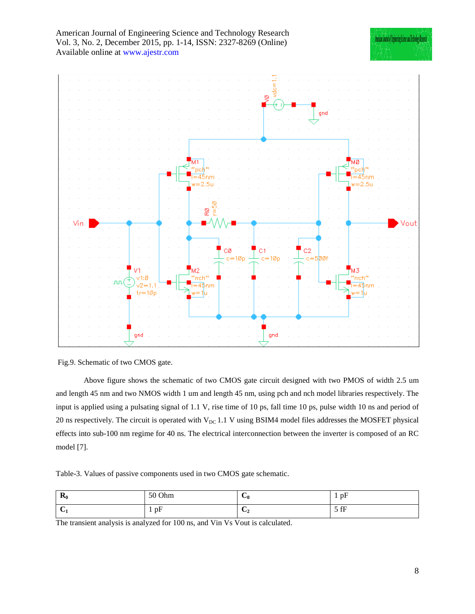



Fig.9. Schematic of two CMOS gate.

Above figure shows the schematic of two CMOS gate circuit designed with two PMOS of width 2.5 um and length 45 nm and two NMOS width 1 um and length 45 nm, using pch and nch model libraries respectively. The input is applied using a pulsating signal of 1.1 V, rise time of 10 ps, fall time 10 ps, pulse width 10 ns and period of 20 ns respectively. The circuit is operated with  $V_{DC}$  1.1 V using BSIM4 model files addresses the MOSFET physical effects into sub-100 nm regime for 40 ns. The electrical interconnection between the inverter is composed of an RC model [7].

Table-3. Values of passive components used in two CMOS gate schematic.

| D<br>$\mathbf{r}_0$ | 50 Ohm | -<br>◡ ()                | $\mathbf{r}$<br>pF<br>$\overline{\phantom{a}}$<br>л. |
|---------------------|--------|--------------------------|------------------------------------------------------|
| $\cdot$             | pF     | ∽<br>$\mathbf{v}_2$<br>- | $5$ fF<br><b>JII</b>                                 |

The transient analysis is analyzed for 100 ns, and Vin Vs Vout is calculated.

Anercan Journal of Engineering Scenee and Technolo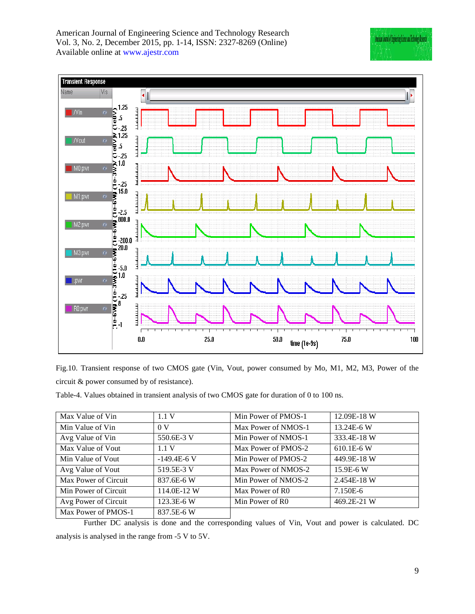| American Journal of Engineering Science and Technology Research  |
|------------------------------------------------------------------|
| Vol. 3, No. 2, December 2015, pp. 1-14, ISSN: 2327-8269 (Online) |
| Available online at www.ajestr.com                               |



|                                             |  |  |  | Fig.10. Transient response of two CMOS gate (Vin, Vout, power consumed by Mo, M1, M2, M3, Power of the |  |  |  |  |
|---------------------------------------------|--|--|--|--------------------------------------------------------------------------------------------------------|--|--|--|--|
| circuit & power consumed by of resistance). |  |  |  |                                                                                                        |  |  |  |  |

Table-4. Values obtained in transient analysis of two CMOS gate for duration of 0 to 100 ns.

| Max Value of Vin     | 1.1V           | Min Power of PMOS-1         | 12.09E-18 W   |
|----------------------|----------------|-----------------------------|---------------|
| Min Value of Vin     | 0 <sub>V</sub> | Max Power of NMOS-1         | 13.24E-6 W    |
| Avg Value of Vin     | 550.6E-3 V     | Min Power of NMOS-1         | 333.4E-18 W   |
| Max Value of Vout    | 1.1V           | Max Power of PMOS-2         | $610.1E - 6W$ |
| Min Value of Vout    | $-149.4E-6V$   | Min Power of PMOS-2         | 449.9E-18 W   |
| Avg Value of Vout    | 519.5E-3 V     | Max Power of NMOS-2         | 15.9E-6 W     |
| Max Power of Circuit | 837.6E-6 W     | Min Power of NMOS-2         | 2.454E-18 W   |
| Min Power of Circuit | 114.0E-12 W    | Max Power of R <sub>0</sub> | 7.150E-6      |
| Avg Power of Circuit | 123.3E-6 W     | Min Power of R <sub>0</sub> | 469.2E-21 W   |
| Max Power of PMOS-1  | 837.5E-6 W     |                             |               |

Further DC analysis is done and the corresponding values of Vin, Vout and power is calculated. DC analysis is analysed in the range from -5 V to 5V.

Ancican Journal of Engineering Science and Technology Recently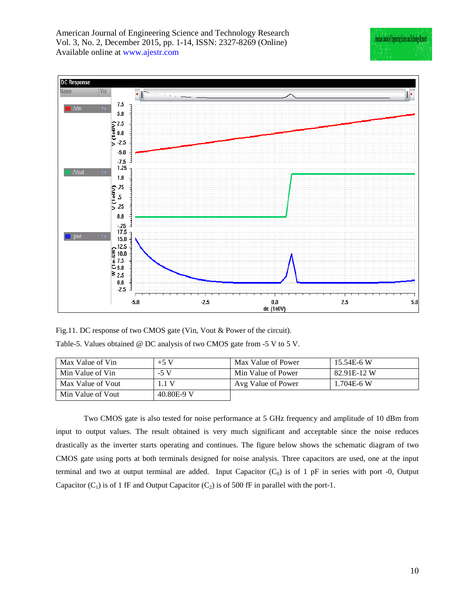

Fig.11. DC response of two CMOS gate (Vin, Vout & Power of the circuit). Table-5. Values obtained @ DC analysis of two CMOS gate from -5 V to 5 V.

| Max Value of Vin  | $+5$ V     | Max Value of Power | 15.54E-6 W     |
|-------------------|------------|--------------------|----------------|
| Min Value of Vin  | $-5V$      | Min Value of Power | 82.91E-12 W    |
| Max Value of Vout | .1V        | Avg Value of Power | $1.704E - 6$ W |
| Min Value of Vout | 40.80E-9 V |                    |                |

Two CMOS gate is also tested for noise performance at 5 GHz frequency and amplitude of 10 dBm from input to output values. The result obtained is very much significant and acceptable since the noise reduces drastically as the inverter starts operating and continues. The figure below shows the schematic diagram of two CMOS gate using ports at both terminals designed for noise analysis. Three capacitors are used, one at the input terminal and two at output terminal are added. Input Capacitor  $(C_0)$  is of 1 pF in series with port -0, Output Capacitor  $(C_1)$  is of 1 fF and Output Capacitor  $(C_2)$  is of 500 fF in parallel with the port-1.

Anerican Journal of Engineering Science and Technology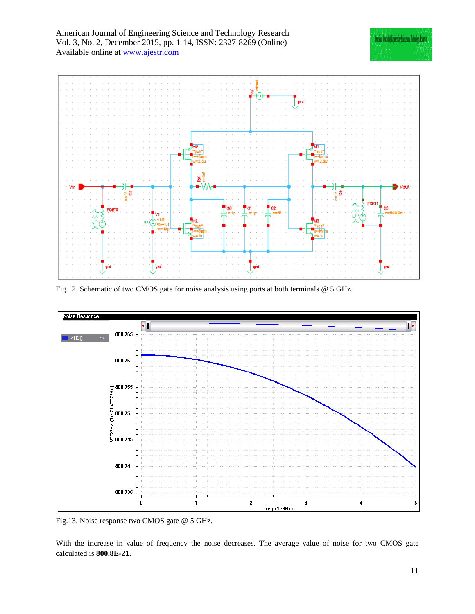

Fig.12. Schematic of two CMOS gate for noise analysis using ports at both terminals @ 5 GHz.



Fig.13. Noise response two CMOS gate @ 5 GHz.

With the increase in value of frequency the noise decreases. The average value of noise for two CMOS gate calculated is **800.8E-21.**

Ancican Instal of Engineering Science and Technology Record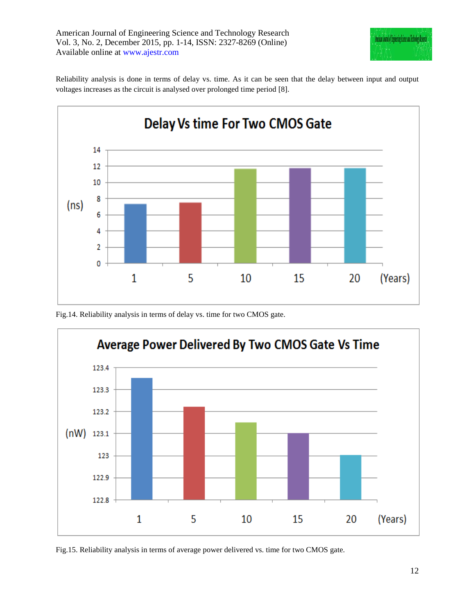

Reliability analysis is done in terms of delay vs. time. As it can be seen that the delay between input and output voltages increases as the circuit is analysed over prolonged time period [8].



Fig.14. Reliability analysis in terms of delay vs. time for two CMOS gate.



Fig.15. Reliability analysis in terms of average power delivered vs. time for two CMOS gate.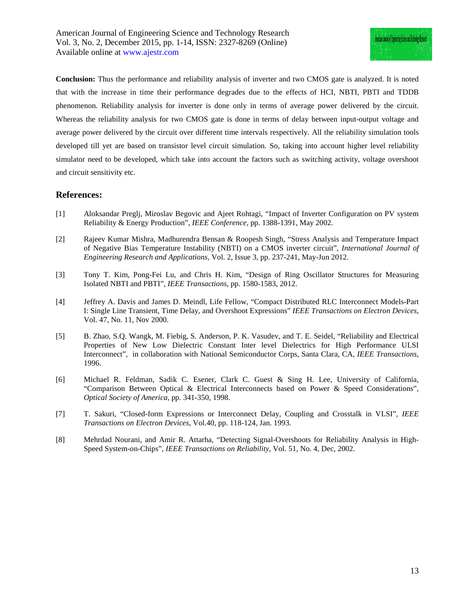**Conclusion:** Thus the performance and reliability analysis of inverter and two CMOS gate is analyzed. It is noted that with the increase in time their performance degrades due to the effects of HCI, NBTI, PBTI and TDDB phenomenon. Reliability analysis for inverter is done only in terms of average power delivered by the circuit. Whereas the reliability analysis for two CMOS gate is done in terms of delay between input-output voltage and average power delivered by the circuit over different time intervals respectively. All the reliability simulation tools developed till yet are based on transistor level circuit simulation. So, taking into account higher level reliability simulator need to be developed, which take into account the factors such as switching activity, voltage overshoot and circuit sensitivity etc.

## **References:**

- [1] Aloksandar Preglj, Miroslav Begovic and Ajeet Rohtagi, "Impact of Inverter Configuration on PV system Reliability & Energy Production", *IEEE Conference*, pp. 1388-1391, May 2002.
- [2] Rajeev Kumar Mishra, Madhurendra Bensan & Roopesh Singh, "Stress Analysis and Temperature Impact of Negative Bias Temperature Instability (NBTI) on a CMOS inverter circuit", *International Journal of Engineering Research and Applications*, Vol. 2, Issue 3, pp. 237-241, May-Jun 2012.
- [3] Tony T. Kim, Pong-Fei Lu, and Chris H. Kim, "Design of Ring Oscillator Structures for Measuring Isolated NBTI and PBTI", *IEEE Transactions*, pp. 1580-1583, 2012.
- [4] Jeffrey A. Davis and James D. Meindl, Life Fellow, "Compact Distributed RLC Interconnect Models-Part I: Single Line Transient, Time Delay, and Overshoot Expressions" *IEEE Transactions on Electron Devices*, Vol. 47, No. 11, Nov 2000.
- [5] B. Zhao, S.Q. Wangk, M. Fiebig, S. Anderson, P. K. Vasudev, and T. E. Seidel, "Reliability and Electrical Properties of New Low Dielectric Constant Inter level Dielectrics for High Performance ULSI Interconnect", in collaboration with National Semiconductor Corps, Santa Clara, CA, *IEEE Transactions*, 1996.
- [6] Michael R. Feldman, Sadik C. Esener, Clark C. Guest & Sing H. Lee, University of California, "Comparison Between Optical & Electrical Interconnects based on Power & Speed Considerations", *Optical Society of America,* pp. 341-350, 1998.
- [7] T. Sakuri, "Closed-form Expressions or Interconnect Delay, Coupling and Crosstalk in VLSI", *IEEE Transactions on Electron Devices*, Vol.40, pp. 118-124, Jan. 1993.
- [8] Mehrdad Nourani*,* and Amir R. Attarha, "Detecting Signal-Overshoots for Reliability Analysis in High-Speed System-on-Chips", *IEEE Transactions on Reliability*, Vol. 51, No. 4, Dec, 2002.